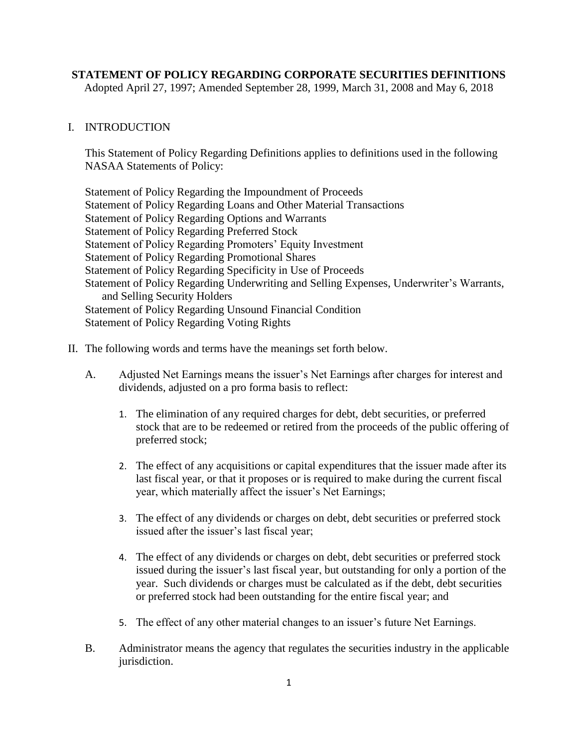## **STATEMENT OF POLICY REGARDING CORPORATE SECURITIES DEFINITIONS**

Adopted April 27, 1997; Amended September 28, 1999, March 31, 2008 and May 6, 2018

## I. INTRODUCTION

This Statement of Policy Regarding Definitions applies to definitions used in the following NASAA Statements of Policy:

Statement of Policy Regarding the Impoundment of Proceeds Statement of Policy Regarding Loans and Other Material Transactions Statement of Policy Regarding Options and Warrants Statement of Policy Regarding Preferred Stock Statement of Policy Regarding Promoters' Equity Investment Statement of Policy Regarding Promotional Shares Statement of Policy Regarding Specificity in Use of Proceeds Statement of Policy Regarding Underwriting and Selling Expenses, Underwriter's Warrants, and Selling Security Holders Statement of Policy Regarding Unsound Financial Condition Statement of Policy Regarding Voting Rights

## II. The following words and terms have the meanings set forth below.

- A. Adjusted Net Earnings means the issuer's Net Earnings after charges for interest and dividends, adjusted on a pro forma basis to reflect:
	- 1. The elimination of any required charges for debt, debt securities, or preferred stock that are to be redeemed or retired from the proceeds of the public offering of preferred stock;
	- 2. The effect of any acquisitions or capital expenditures that the issuer made after its last fiscal year, or that it proposes or is required to make during the current fiscal year, which materially affect the issuer's Net Earnings;
	- 3. The effect of any dividends or charges on debt, debt securities or preferred stock issued after the issuer's last fiscal year;
	- 4. The effect of any dividends or charges on debt, debt securities or preferred stock issued during the issuer's last fiscal year, but outstanding for only a portion of the year. Such dividends or charges must be calculated as if the debt, debt securities or preferred stock had been outstanding for the entire fiscal year; and
	- 5. The effect of any other material changes to an issuer's future Net Earnings.
- B. Administrator means the agency that regulates the securities industry in the applicable jurisdiction.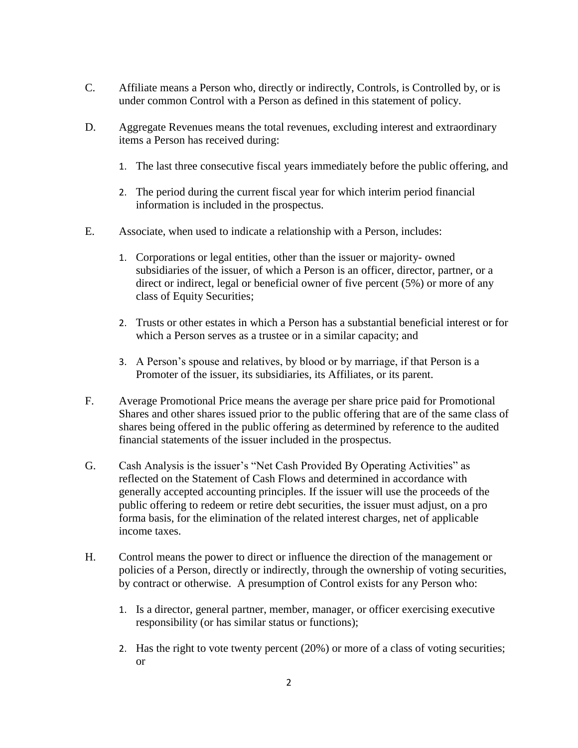- C. Affiliate means a Person who, directly or indirectly, Controls, is Controlled by, or is under common Control with a Person as defined in this statement of policy.
- D. Aggregate Revenues means the total revenues, excluding interest and extraordinary items a Person has received during:
	- 1. The last three consecutive fiscal years immediately before the public offering, and
	- 2. The period during the current fiscal year for which interim period financial information is included in the prospectus.
- E. Associate, when used to indicate a relationship with a Person, includes:
	- 1. Corporations or legal entities, other than the issuer or majority- owned subsidiaries of the issuer, of which a Person is an officer, director, partner, or a direct or indirect, legal or beneficial owner of five percent (5%) or more of any class of Equity Securities;
	- 2. Trusts or other estates in which a Person has a substantial beneficial interest or for which a Person serves as a trustee or in a similar capacity; and
	- 3. A Person's spouse and relatives, by blood or by marriage, if that Person is a Promoter of the issuer, its subsidiaries, its Affiliates, or its parent.
- F. Average Promotional Price means the average per share price paid for Promotional Shares and other shares issued prior to the public offering that are of the same class of shares being offered in the public offering as determined by reference to the audited financial statements of the issuer included in the prospectus.
- G. Cash Analysis is the issuer's "Net Cash Provided By Operating Activities" as reflected on the Statement of Cash Flows and determined in accordance with generally accepted accounting principles. If the issuer will use the proceeds of the public offering to redeem or retire debt securities, the issuer must adjust, on a pro forma basis, for the elimination of the related interest charges, net of applicable income taxes.
- H. Control means the power to direct or influence the direction of the management or policies of a Person, directly or indirectly, through the ownership of voting securities, by contract or otherwise. A presumption of Control exists for any Person who:
	- 1. Is a director, general partner, member, manager, or officer exercising executive responsibility (or has similar status or functions);
	- 2. Has the right to vote twenty percent (20%) or more of a class of voting securities; or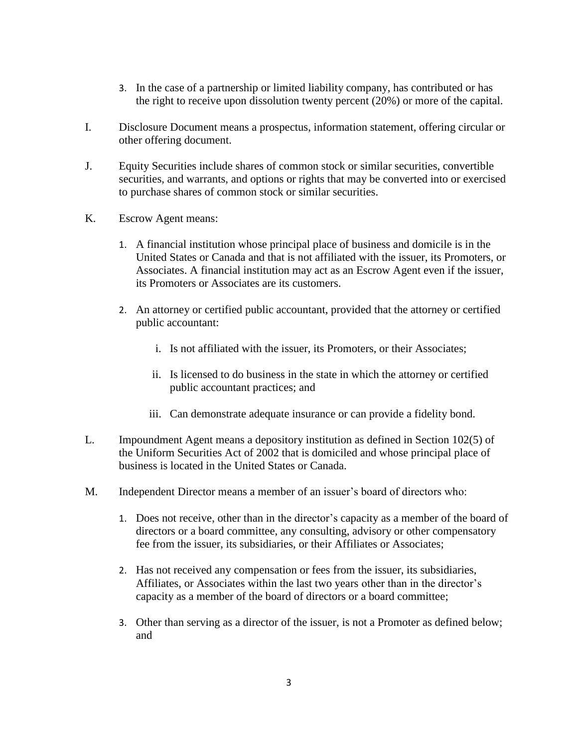- 3. In the case of a partnership or limited liability company, has contributed or has the right to receive upon dissolution twenty percent (20%) or more of the capital.
- I. Disclosure Document means a prospectus, information statement, offering circular or other offering document.
- J. Equity Securities include shares of common stock or similar securities, convertible securities, and warrants, and options or rights that may be converted into or exercised to purchase shares of common stock or similar securities.
- K. Escrow Agent means:
	- 1. A financial institution whose principal place of business and domicile is in the United States or Canada and that is not affiliated with the issuer, its Promoters, or Associates. A financial institution may act as an Escrow Agent even if the issuer, its Promoters or Associates are its customers.
	- 2. An attorney or certified public accountant, provided that the attorney or certified public accountant:
		- i. Is not affiliated with the issuer, its Promoters, or their Associates;
		- ii. Is licensed to do business in the state in which the attorney or certified public accountant practices; and
		- iii. Can demonstrate adequate insurance or can provide a fidelity bond.
- L. Impoundment Agent means a depository institution as defined in Section 102(5) of the Uniform Securities Act of 2002 that is domiciled and whose principal place of business is located in the United States or Canada.
- M. Independent Director means a member of an issuer's board of directors who:
	- 1. Does not receive, other than in the director's capacity as a member of the board of directors or a board committee, any consulting, advisory or other compensatory fee from the issuer, its subsidiaries, or their Affiliates or Associates;
	- 2. Has not received any compensation or fees from the issuer, its subsidiaries, Affiliates, or Associates within the last two years other than in the director's capacity as a member of the board of directors or a board committee;
	- 3. Other than serving as a director of the issuer, is not a Promoter as defined below; and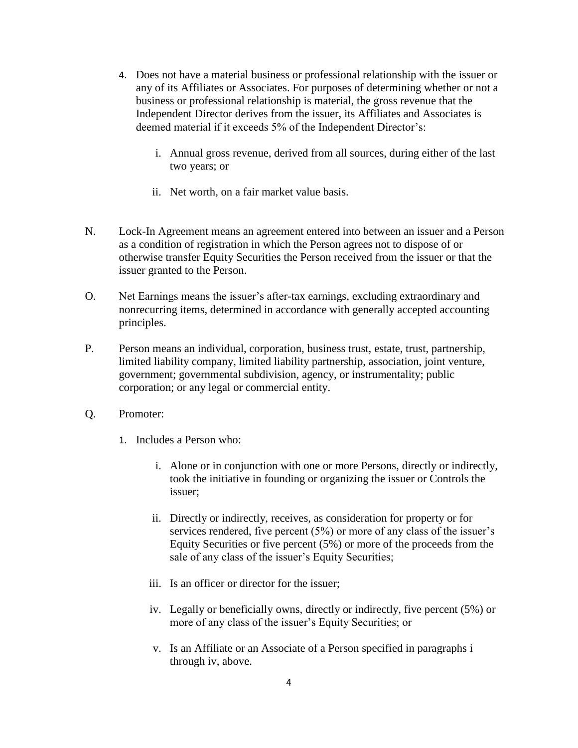- 4. Does not have a material business or professional relationship with the issuer or any of its Affiliates or Associates. For purposes of determining whether or not a business or professional relationship is material, the gross revenue that the Independent Director derives from the issuer, its Affiliates and Associates is deemed material if it exceeds 5% of the Independent Director's:
	- i. Annual gross revenue, derived from all sources, during either of the last two years; or
	- ii. Net worth, on a fair market value basis.
- N. Lock-In Agreement means an agreement entered into between an issuer and a Person as a condition of registration in which the Person agrees not to dispose of or otherwise transfer Equity Securities the Person received from the issuer or that the issuer granted to the Person.
- O. Net Earnings means the issuer's after-tax earnings, excluding extraordinary and nonrecurring items, determined in accordance with generally accepted accounting principles.
- P. Person means an individual, corporation, business trust, estate, trust, partnership, limited liability company, limited liability partnership, association, joint venture, government; governmental subdivision, agency, or instrumentality; public corporation; or any legal or commercial entity.
- Q. Promoter:
	- 1. Includes a Person who:
		- i. Alone or in conjunction with one or more Persons, directly or indirectly, took the initiative in founding or organizing the issuer or Controls the issuer;
		- ii. Directly or indirectly, receives, as consideration for property or for services rendered, five percent (5%) or more of any class of the issuer's Equity Securities or five percent (5%) or more of the proceeds from the sale of any class of the issuer's Equity Securities;
		- iii. Is an officer or director for the issuer;
		- iv. Legally or beneficially owns, directly or indirectly, five percent (5%) or more of any class of the issuer's Equity Securities; or
		- v. Is an Affiliate or an Associate of a Person specified in paragraphs i through iv, above.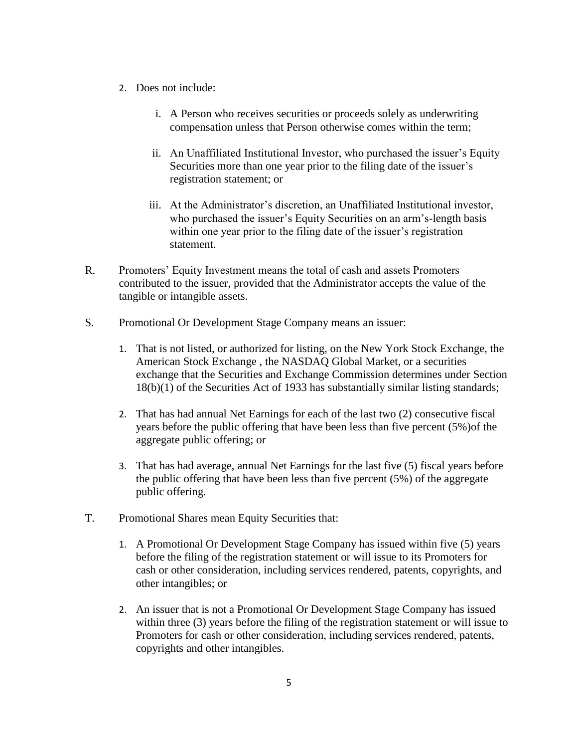- 2. Does not include:
	- i. A Person who receives securities or proceeds solely as underwriting compensation unless that Person otherwise comes within the term;
	- ii. An Unaffiliated Institutional Investor, who purchased the issuer's Equity Securities more than one year prior to the filing date of the issuer's registration statement; or
	- iii. At the Administrator's discretion, an Unaffiliated Institutional investor, who purchased the issuer's Equity Securities on an arm's-length basis within one year prior to the filing date of the issuer's registration statement.
- R. Promoters' Equity Investment means the total of cash and assets Promoters contributed to the issuer, provided that the Administrator accepts the value of the tangible or intangible assets.
- S. Promotional Or Development Stage Company means an issuer:
	- 1. That is not listed, or authorized for listing, on the New York Stock Exchange, the American Stock Exchange , the NASDAQ Global Market, or a securities exchange that the Securities and Exchange Commission determines under Section 18(b)(1) of the Securities Act of 1933 has substantially similar listing standards;
	- 2. That has had annual Net Earnings for each of the last two (2) consecutive fiscal years before the public offering that have been less than five percent (5%)of the aggregate public offering; or
	- 3. That has had average, annual Net Earnings for the last five (5) fiscal years before the public offering that have been less than five percent (5%) of the aggregate public offering.
- T. Promotional Shares mean Equity Securities that:
	- 1. A Promotional Or Development Stage Company has issued within five (5) years before the filing of the registration statement or will issue to its Promoters for cash or other consideration, including services rendered, patents, copyrights, and other intangibles; or
	- 2. An issuer that is not a Promotional Or Development Stage Company has issued within three (3) years before the filing of the registration statement or will issue to Promoters for cash or other consideration, including services rendered, patents, copyrights and other intangibles.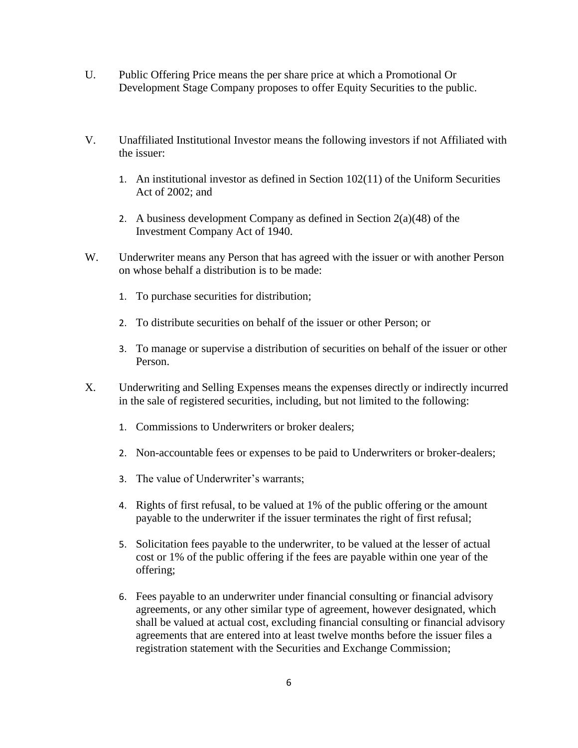- U. Public Offering Price means the per share price at which a Promotional Or Development Stage Company proposes to offer Equity Securities to the public.
- V. Unaffiliated Institutional Investor means the following investors if not Affiliated with the issuer:
	- 1. An institutional investor as defined in Section 102(11) of the Uniform Securities Act of 2002; and
	- 2. A business development Company as defined in Section  $2(a)(48)$  of the Investment Company Act of 1940.
- W. Underwriter means any Person that has agreed with the issuer or with another Person on whose behalf a distribution is to be made:
	- 1. To purchase securities for distribution;
	- 2. To distribute securities on behalf of the issuer or other Person; or
	- 3. To manage or supervise a distribution of securities on behalf of the issuer or other Person.
- X. Underwriting and Selling Expenses means the expenses directly or indirectly incurred in the sale of registered securities, including, but not limited to the following:
	- 1. Commissions to Underwriters or broker dealers;
	- 2. Non-accountable fees or expenses to be paid to Underwriters or broker-dealers;
	- 3. The value of Underwriter's warrants;
	- 4. Rights of first refusal, to be valued at 1% of the public offering or the amount payable to the underwriter if the issuer terminates the right of first refusal;
	- 5. Solicitation fees payable to the underwriter, to be valued at the lesser of actual cost or 1% of the public offering if the fees are payable within one year of the offering;
	- 6. Fees payable to an underwriter under financial consulting or financial advisory agreements, or any other similar type of agreement, however designated, which shall be valued at actual cost, excluding financial consulting or financial advisory agreements that are entered into at least twelve months before the issuer files a registration statement with the Securities and Exchange Commission;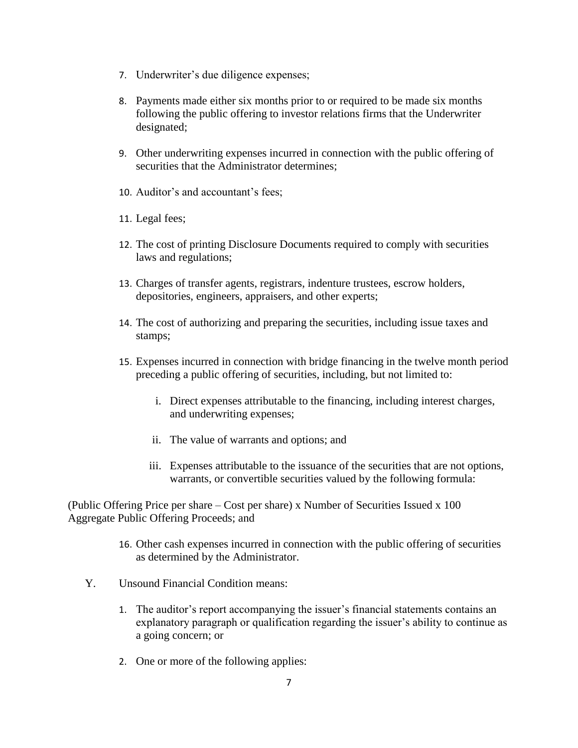- 7. Underwriter's due diligence expenses;
- 8. Payments made either six months prior to or required to be made six months following the public offering to investor relations firms that the Underwriter designated;
- 9. Other underwriting expenses incurred in connection with the public offering of securities that the Administrator determines;
- 10. Auditor's and accountant's fees;
- 11. Legal fees;
- 12. The cost of printing Disclosure Documents required to comply with securities laws and regulations;
- 13. Charges of transfer agents, registrars, indenture trustees, escrow holders, depositories, engineers, appraisers, and other experts;
- 14. The cost of authorizing and preparing the securities, including issue taxes and stamps;
- 15. Expenses incurred in connection with bridge financing in the twelve month period preceding a public offering of securities, including, but not limited to:
	- i. Direct expenses attributable to the financing, including interest charges, and underwriting expenses;
	- ii. The value of warrants and options; and
	- iii. Expenses attributable to the issuance of the securities that are not options, warrants, or convertible securities valued by the following formula:

(Public Offering Price per share – Cost per share) x Number of Securities Issued x 100 Aggregate Public Offering Proceeds; and

- 16. Other cash expenses incurred in connection with the public offering of securities as determined by the Administrator.
- Y. Unsound Financial Condition means:
	- 1. The auditor's report accompanying the issuer's financial statements contains an explanatory paragraph or qualification regarding the issuer's ability to continue as a going concern; or
	- 2. One or more of the following applies: